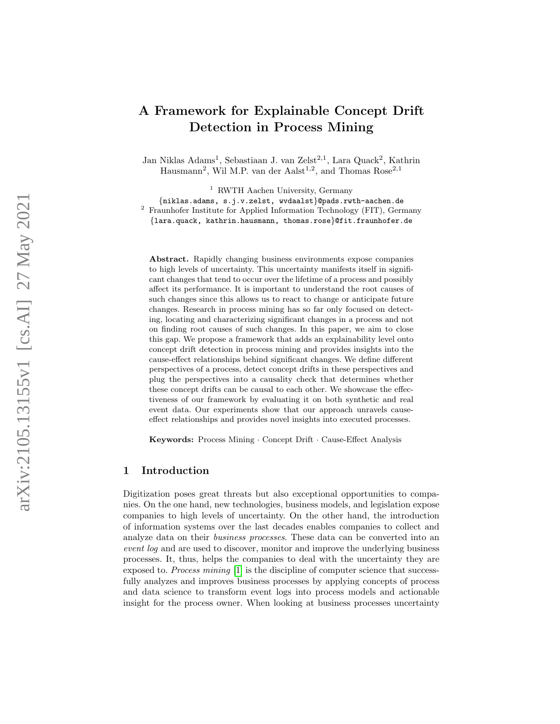# A Framework for Explainable Concept Drift Detection in Process Mining

Jan Niklas Adams<sup>1</sup>, Sebastiaan J. van Zelst<sup>2,1</sup>, Lara Quack<sup>2</sup>, Kathrin Hausmann<sup>2</sup>, Wil M.P. van der Aalst<sup>1,2</sup>, and Thomas Rose<sup>2,1</sup>

<sup>1</sup> RWTH Aachen University, Germany

{niklas.adams, s.j.v.zelst, wvdaalst }@pads.rwth-aachen.de <sup>2</sup> Fraunhofer Institute for Applied Information Technology (FIT), Germany {lara.quack, kathrin.hausmann, thomas.rose}@fit.fraunhofer.de

Abstract. Rapidly changing business environments expose companies to high levels of uncertainty. This uncertainty manifests itself in significant changes that tend to occur over the lifetime of a process and possibly affect its performance. It is important to understand the root causes of such changes since this allows us to react to change or anticipate future changes. Research in process mining has so far only focused on detecting, locating and characterizing significant changes in a process and not on finding root causes of such changes. In this paper, we aim to close this gap. We propose a framework that adds an explainability level onto concept drift detection in process mining and provides insights into the cause-effect relationships behind significant changes. We define different perspectives of a process, detect concept drifts in these perspectives and plug the perspectives into a causality check that determines whether these concept drifts can be causal to each other. We showcase the effectiveness of our framework by evaluating it on both synthetic and real event data. Our experiments show that our approach unravels causeeffect relationships and provides novel insights into executed processes.

Keywords: Process Mining · Concept Drift · Cause-Effect Analysis

# 1 Introduction

Digitization poses great threats but also exceptional opportunities to companies. On the one hand, new technologies, business models, and legislation expose companies to high levels of uncertainty. On the other hand, the introduction of information systems over the last decades enables companies to collect and analyze data on their business processes. These data can be converted into an event log and are used to discover, monitor and improve the underlying business processes. It, thus, helps the companies to deal with the uncertainty they are exposed to. Process mining [\[1\]](#page-14-0) is the discipline of computer science that successfully analyzes and improves business processes by applying concepts of process and data science to transform event logs into process models and actionable insight for the process owner. When looking at business processes uncertainty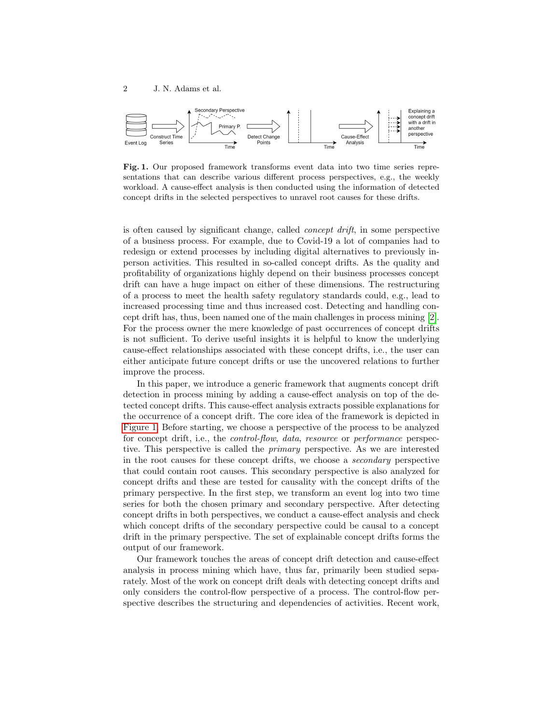

<span id="page-1-0"></span>Fig. 1. Our proposed framework transforms event data into two time series representations that can describe various different process perspectives, e.g., the weekly workload. A cause-effect analysis is then conducted using the information of detected concept drifts in the selected perspectives to unravel root causes for these drifts.

is often caused by significant change, called concept drift, in some perspective of a business process. For example, due to Covid-19 a lot of companies had to redesign or extend processes by including digital alternatives to previously inperson activities. This resulted in so-called concept drifts. As the quality and profitability of organizations highly depend on their business processes concept drift can have a huge impact on either of these dimensions. The restructuring of a process to meet the health safety regulatory standards could, e.g., lead to increased processing time and thus increased cost. Detecting and handling concept drift has, thus, been named one of the main challenges in process mining [\[2\]](#page-14-1). For the process owner the mere knowledge of past occurrences of concept drifts is not sufficient. To derive useful insights it is helpful to know the underlying cause-effect relationships associated with these concept drifts, i.e., the user can either anticipate future concept drifts or use the uncovered relations to further improve the process.

In this paper, we introduce a generic framework that augments concept drift detection in process mining by adding a cause-effect analysis on top of the detected concept drifts. This cause-effect analysis extracts possible explanations for the occurrence of a concept drift. The core idea of the framework is depicted in [Figure 1.](#page-1-0) Before starting, we choose a perspective of the process to be analyzed for concept drift, i.e., the *control-flow, data, resource* or *performance* perspective. This perspective is called the primary perspective. As we are interested in the root causes for these concept drifts, we choose a secondary perspective that could contain root causes. This secondary perspective is also analyzed for concept drifts and these are tested for causality with the concept drifts of the primary perspective. In the first step, we transform an event log into two time series for both the chosen primary and secondary perspective. After detecting concept drifts in both perspectives, we conduct a cause-effect analysis and check which concept drifts of the secondary perspective could be causal to a concept drift in the primary perspective. The set of explainable concept drifts forms the output of our framework.

Our framework touches the areas of concept drift detection and cause-effect analysis in process mining which have, thus far, primarily been studied separately. Most of the work on concept drift deals with detecting concept drifts and only considers the control-flow perspective of a process. The control-flow perspective describes the structuring and dependencies of activities. Recent work,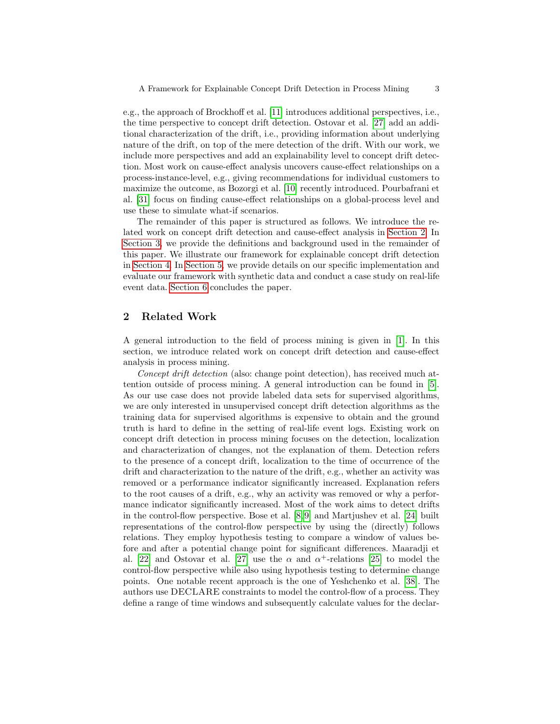e.g., the approach of Brockhoff et al. [\[11\]](#page-14-2) introduces additional perspectives, i.e., the time perspective to concept drift detection. Ostovar et al. [\[27\]](#page-15-0) add an additional characterization of the drift, i.e., providing information about underlying nature of the drift, on top of the mere detection of the drift. With our work, we include more perspectives and add an explainability level to concept drift detection. Most work on cause-effect analysis uncovers cause-effect relationships on a process-instance-level, e.g., giving recommendations for individual customers to maximize the outcome, as Bozorgi et al. [\[10\]](#page-14-3) recently introduced. Pourbafrani et al. [\[31\]](#page-15-1) focus on finding cause-effect relationships on a global-process level and use these to simulate what-if scenarios.

The remainder of this paper is structured as follows. We introduce the related work on concept drift detection and cause-effect analysis in [Section 2.](#page-2-0) In [Section 3,](#page-4-0) we provide the definitions and background used in the remainder of this paper. We illustrate our framework for explainable concept drift detection in [Section 4.](#page-5-0) In [Section 5,](#page-9-0) we provide details on our specific implementation and evaluate our framework with synthetic data and conduct a case study on real-life event data. [Section 6](#page-13-0) concludes the paper.

# <span id="page-2-0"></span>2 Related Work

A general introduction to the field of process mining is given in [\[1\]](#page-14-0). In this section, we introduce related work on concept drift detection and cause-effect analysis in process mining.

Concept drift detection (also: change point detection), has received much attention outside of process mining. A general introduction can be found in [\[5\]](#page-14-4). As our use case does not provide labeled data sets for supervised algorithms, we are only interested in unsupervised concept drift detection algorithms as the training data for supervised algorithms is expensive to obtain and the ground truth is hard to define in the setting of real-life event logs. Existing work on concept drift detection in process mining focuses on the detection, localization and characterization of changes, not the explanation of them. Detection refers to the presence of a concept drift, localization to the time of occurrence of the drift and characterization to the nature of the drift, e.g., whether an activity was removed or a performance indicator significantly increased. Explanation refers to the root causes of a drift, e.g., why an activity was removed or why a performance indicator significantly increased. Most of the work aims to detect drifts in the control-flow perspective. Bose et al. [\[8,](#page-14-5) [9\]](#page-14-6) and Martjushev et al. [\[24\]](#page-15-2) built representations of the control-flow perspective by using the (directly) follows relations. They employ hypothesis testing to compare a window of values before and after a potential change point for significant differences. Maaradji et al. [\[22\]](#page-15-3) and Ostovar et al. [\[27\]](#page-15-0) use the  $\alpha$  and  $\alpha^+$ -relations [\[25\]](#page-15-4) to model the control-flow perspective while also using hypothesis testing to determine change points. One notable recent approach is the one of Yeshchenko et al. [\[38\]](#page-16-0). The authors use DECLARE constraints to model the control-flow of a process. They define a range of time windows and subsequently calculate values for the declar-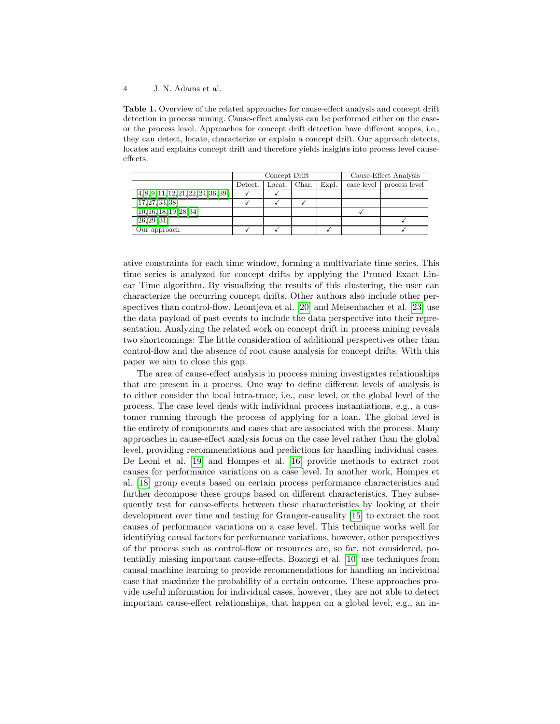<span id="page-3-0"></span>Table 1. Overview of the related approaches for cause-effect analysis and concept drift detection in process mining. Cause-effect analysis can be performed either on the caseor the process level. Approaches for concept drift detection have different scopes, i.e., they can detect, locate, characterize or explain a concept drift. Our approach detects, locates and explains concept drift and therefore yields insights into process level causeeffects.

|                                       | Concept Drift |                                | Cause-Effect Analysis |       |  |                            |
|---------------------------------------|---------------|--------------------------------|-----------------------|-------|--|----------------------------|
|                                       |               | Detect. $\vert$ Locat. $\vert$ | Char.                 | Expl. |  | case level   process level |
| [4, 8, 9, 11, 12, 21, 22, 24, 36, 39] |               |                                |                       |       |  |                            |
| [17, 27, 33, 38]                      |               |                                |                       |       |  |                            |
| [10, 16, 18, 19, 28, 34]              |               |                                |                       |       |  |                            |
| $[26, 29 - 31]$                       |               |                                |                       |       |  |                            |
| Our approach                          |               |                                |                       |       |  |                            |

ative constraints for each time window, forming a multivariate time series. This time series is analyzed for concept drifts by applying the Pruned Exact Linear Time algorithm. By visualizing the results of this clustering, the user can characterize the occurring concept drifts. Other authors also include other perspectives than control-flow. Leontjeva et al. [\[20\]](#page-15-14) and Meisenbacher et al. [\[23\]](#page-15-15) use the data payload of past events to include the data perspective into their representation. Analyzing the related work on concept drift in process mining reveals two shortcomings: The little consideration of additional perspectives other than control-flow and the absence of root cause analysis for concept drifts. With this paper we aim to close this gap.

The area of cause-effect analysis in process mining investigates relationships that are present in a process. One way to define different levels of analysis is to either consider the local intra-trace, i.e., case level, or the global level of the process. The case level deals with individual process instantiations, e.g., a customer running through the process of applying for a loan. The global level is the entirety of components and cases that are associated with the process. Many approaches in cause-effect analysis focus on the case level rather than the global level, providing recommendations and predictions for handling individual cases. De Leoni et al. [\[19\]](#page-15-10) and Hompes et al. [\[16\]](#page-15-8) provide methods to extract root causes for performance variations on a case level. In another work, Hompes et al. [\[18\]](#page-15-9) group events based on certain process performance characteristics and further decompose these groups based on different characteristics. They subsequently test for cause-effects between these characteristics by looking at their development over time and testing for Granger-causality [\[15\]](#page-15-16) to extract the root causes of performance variations on a case level. This technique works well for identifying causal factors for performance variations, however, other perspectives of the process such as control-flow or resources are, so far, not considered, potentially missing important cause-effects. Bozorgi et al. [\[10\]](#page-14-3) use techniques from causal machine learning to provide recommendations for handling an individual case that maximize the probability of a certain outcome. These approaches provide useful information for individual cases, however, they are not able to detect important cause-effect relationships, that happen on a global level, e.g., an in-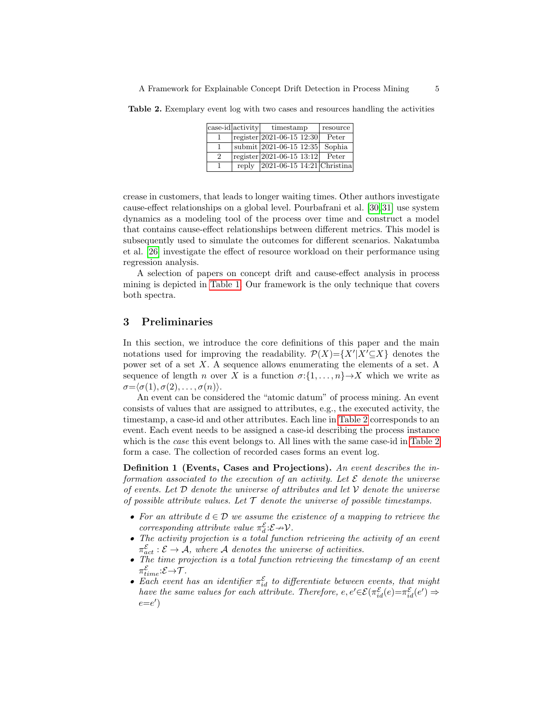<span id="page-4-1"></span>

|  |  |  | <b>Table 2.</b> Exemplary event log with two cases and resources handling the activities |
|--|--|--|------------------------------------------------------------------------------------------|
|--|--|--|------------------------------------------------------------------------------------------|

|   | $\case-id activity $ | timestamp                     | resource |
|---|----------------------|-------------------------------|----------|
|   |                      | $register$ 2021-06-15 12:30   | Peter    |
|   |                      | submit 2021-06-15 12:35       | Sophia   |
| 2 |                      | register 2021-06-15 13:12     | Peter    |
|   | reply                | $ 2021-06-15 14:21 Christina$ |          |

crease in customers, that leads to longer waiting times. Other authors investigate cause-effect relationships on a global level. Pourbafrani et al. [\[30,](#page-15-17) [31\]](#page-15-1) use system dynamics as a modeling tool of the process over time and construct a model that contains cause-effect relationships between different metrics. This model is subsequently used to simulate the outcomes for different scenarios. Nakatumba et al. [\[26\]](#page-15-12) investigate the effect of resource workload on their performance using regression analysis.

A selection of papers on concept drift and cause-effect analysis in process mining is depicted in [Table 1.](#page-3-0) Our framework is the only technique that covers both spectra.

# <span id="page-4-0"></span>3 Preliminaries

In this section, we introduce the core definitions of this paper and the main notations used for improving the readability.  $\mathcal{P}(X) = \{X'|X' \subseteq X\}$  denotes the power set of a set X. A sequence allows enumerating the elements of a set. A sequence of length n over X is a function  $\sigma:\{1,\ldots,n\}\to X$  which we write as  $\sigma = \langle \sigma(1), \sigma(2), \ldots, \sigma(n) \rangle.$ 

An event can be considered the "atomic datum" of process mining. An event consists of values that are assigned to attributes, e.g., the executed activity, the timestamp, a case-id and other attributes. Each line in [Table 2](#page-4-1) corresponds to an event. Each event needs to be assigned a case-id describing the process instance which is the *case* this event belongs to. All lines with the same case-id in [Table 2](#page-4-1) form a case. The collection of recorded cases forms an event log.

Definition 1 (Events, Cases and Projections). An event describes the information associated to the execution of an activity. Let  $\mathcal E$  denote the universe of events. Let  $D$  denote the universe of attributes and let  $V$  denote the universe of possible attribute values. Let  $\mathcal T$  denote the universe of possible timestamps.

- For an attribute  $d \in \mathcal{D}$  we assume the existence of a mapping to retrieve the corresponding attribute value  $\pi_d^{\mathcal{E}}:\mathcal{E}\to\mathcal{V}$ .
- The activity projection is a total function retrieving the activity of an event  $\pi_{act}^{\mathcal{E}} : \mathcal{E} \to \mathcal{A}$ , where  $\mathcal{A}$  denotes the universe of activities.
- The time projection is a total function retrieving the timestamp of an event  $\pi^{\mathcal{E}}_{time}:\mathcal{E}\rightarrow\mathcal{T}$ .
- Each event has an identifier  $\pi_{id}^{\mathcal{E}}$  to differentiate between events, that might have the same values for each attribute. Therefore,  $e, e' \in \mathcal{E}(\pi_{id}^{\mathcal{E}}(e) = \pi_{id}^{\mathcal{E}}(e') \Rightarrow$  $e = e'$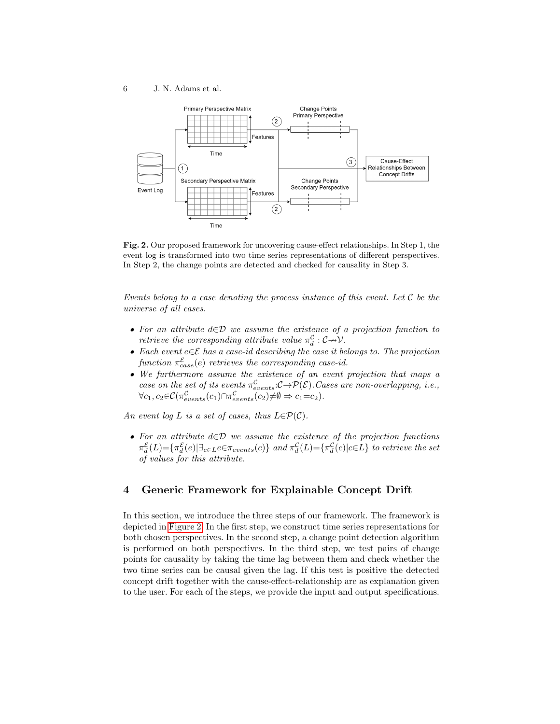

<span id="page-5-1"></span>Fig. 2. Our proposed framework for uncovering cause-effect relationships. In Step 1, the event log is transformed into two time series representations of different perspectives. In Step 2, the change points are detected and checked for causality in Step 3.

Events belong to a case denoting the process instance of this event. Let  $C$  be the universe of all cases.

- For an attribute  $d \in \mathcal{D}$  we assume the existence of a projection function to retrieve the corresponding attribute value  $\pi_d^{\mathcal{C}}: \mathcal{C} \rightarrow \mathcal{V}$ .
- Each event  $e \in \mathcal{E}$  has a case-id describing the case it belongs to. The projection function  $\pi_{case}^{\mathcal{E}}(e)$  retrieves the corresponding case-id.
- We furthermore assume the existence of an event projection that maps a case on the set of its events  $\pi_{events}^{\mathcal{C}}:\mathcal{C}\rightarrow\mathcal{P}(\mathcal{E})$ . Cases are non-overlapping, i.e.,  $\forall c_1, c_2 \in \mathcal{C}(\pi_{events}^{\mathcal{C}}(c_1) \cap \pi_{events}^{\mathcal{C}}(c_2) \neq \emptyset \Rightarrow c_1 = c_2).$

An event log L is a set of cases, thus  $L \in \mathcal{P}(\mathcal{C})$ .

• For an attribute  $d \in \mathcal{D}$  we assume the existence of the projection functions  $\pi_d^{\mathcal{E}}(L)=\{\pi_d^{\mathcal{E}}(e)|\exists_{c\in L}e\in\pi_{events}(c)\}$  and  $\pi_d^{\mathcal{C}}(L)=\{\pi_d^{\mathcal{C}}(c)|c\in L\}$  to retrieve the set of values for this attribute.

# <span id="page-5-0"></span>4 Generic Framework for Explainable Concept Drift

In this section, we introduce the three steps of our framework. The framework is depicted in [Figure 2.](#page-5-1) In the first step, we construct time series representations for both chosen perspectives. In the second step, a change point detection algorithm is performed on both perspectives. In the third step, we test pairs of change points for causality by taking the time lag between them and check whether the two time series can be causal given the lag. If this test is positive the detected concept drift together with the cause-effect-relationship are as explanation given to the user. For each of the steps, we provide the input and output specifications.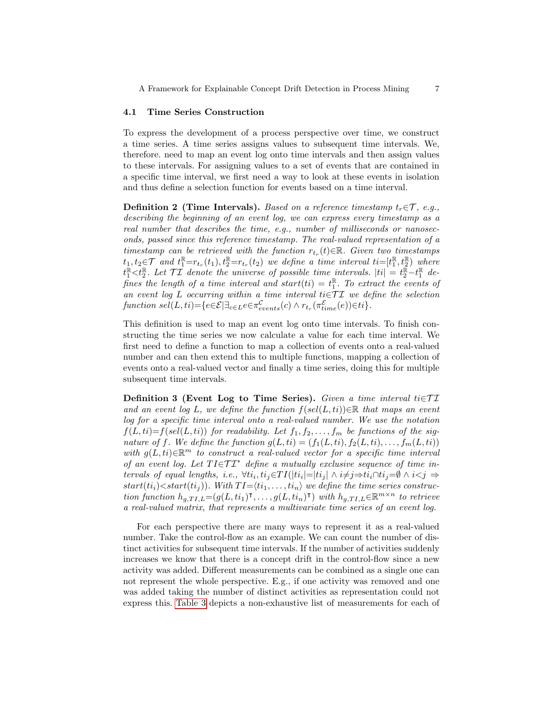#### 4.1 Time Series Construction

To express the development of a process perspective over time, we construct a time series. A time series assigns values to subsequent time intervals. We, therefore. need to map an event log onto time intervals and then assign values to these intervals. For assigning values to a set of events that are contained in a specific time interval, we first need a way to look at these events in isolation and thus define a selection function for events based on a time interval.

**Definition 2 (Time Intervals).** Based on a reference timestamp  $t_r \in \mathcal{T}$ , e.g., describing the beginning of an event log, we can express every timestamp as a real number that describes the time, e.g., number of milliseconds or nanoseconds, passed since this reference timestamp. The real-valued representation of a timestamp can be retrieved with the function  $r_{t_r}(t) \in \mathbb{R}$ . Given two timestamps  $t_1, t_2 \in \mathcal{T}$  and  $t_1^{\mathbb{R}} = r_{t_r}(t_1), t_2^{\mathbb{R}} = r_{t_r}(t_2)$  we define a time interval  $ti = [t_1^{\mathbb{R}}, t_2^{\mathbb{R}})$  where  $t_1^{\mathbb{R}} < t_2^{\mathbb{R}}$ . Let  $\mathcal{T}I$  denote the universe of possible time intervals.  $|ti| = t_2^{\mathbb{R}} - t_1^{\mathbb{R}}$  defines the length of a time interval and start $(ti) = t_1^{\mathbb{R}}$ . To extract the events of an event log L occurring within a time interval ti∈TI we define the selection function  $sel(L, ti) = \{e \in \mathcal{E} | \exists_{c \in L} e \in \pi_{events}^{\mathcal{C}}(c) \wedge r_{t_r}(\pi_{time}^{\mathcal{E}}(e)) \in ti\}.$ 

This definition is used to map an event log onto time intervals. To finish constructing the time series we now calculate a value for each time interval. We first need to define a function to map a collection of events onto a real-valued number and can then extend this to multiple functions, mapping a collection of events onto a real-valued vector and finally a time series, doing this for multiple subsequent time intervals.

Definition 3 (Event Log to Time Series). Given a time interval ti∈TI and an event log L, we define the function  $f(self(L, ti)) \in \mathbb{R}$  that maps an event log for a specific time interval onto a real-valued number. We use the notation  $f(L, ti)=f(self(L, ti))$  for readability. Let  $f_1, f_2, \ldots, f_m$  be functions of the signature of f. We define the function  $g(L, ti) = (f_1(L, ti), f_2(L, ti), \ldots, f_m(L, ti))$ with  $g(L, t) \in \mathbb{R}^m$  to construct a real-valued vector for a specific time interval of an event log. Let  $TI \in \mathcal{TI}^*$  define a mutually exclusive sequence of time intervals of equal lengths, i.e.,  $\forall ti_i, ti_j \in TI(|ti_i|=|ti_j| \land i \neq j \Rightarrow ti_i \cap ti_j = \emptyset \land i < j \Rightarrow$ start(ti<sub>i</sub>) $\langle start(t_i_j) \rangle$ . With  $TI = \langle ti_1, \ldots, ti_n \rangle$  we define the time series construction function  $h_{g,TI,L} = (g(L, ti_1)^{\intercal}, \ldots, g(L, ti_n)^{\intercal})$  with  $h_{g,TI,L} \in \mathbb{R}^{m \times n}$  to retrieve a real-valued matrix, that represents a multivariate time series of an event log.

For each perspective there are many ways to represent it as a real-valued number. Take the control-flow as an example. We can count the number of distinct activities for subsequent time intervals. If the number of activities suddenly increases we know that there is a concept drift in the control-flow since a new activity was added. Different measurements can be combined as a single one can not represent the whole perspective. E.g., if one activity was removed and one was added taking the number of distinct activities as representation could not express this. [Table 3](#page-7-0) depicts a non-exhaustive list of measurements for each of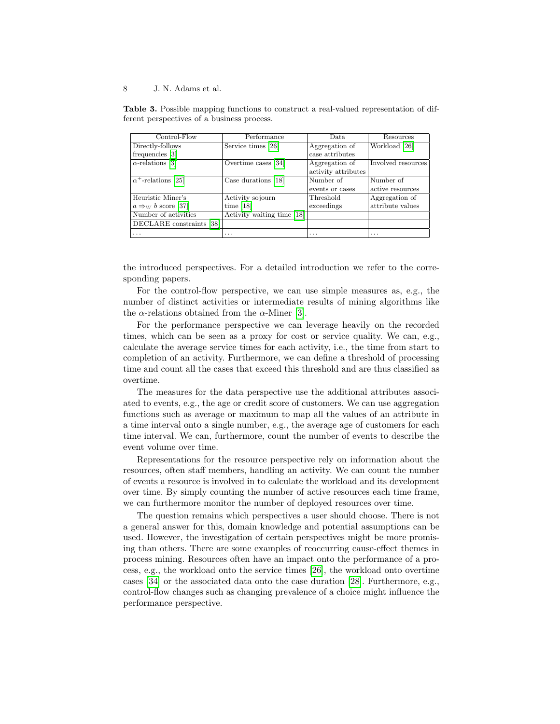Control-Flow Performance Data Resources Directly-follows Service times [\[26\]](#page-15-12) Aggregation of Workload [26] frequencies [\[3\]](#page-14-8) case attributes  $\alpha$ -relations [\[3\]](#page-14-8)  $\alpha$ -relations [3]  $\alpha$ -relations [3] activity attributes  $\alpha^+$ -relations [25] Case durations [\[18\]](#page-15-9) Number of Number of events or cases active resources Heuristic Miner's Activity sojourn Threshold Aggregation of  $a \Rightarrow w$  b score [37]  $\qquad \qquad$  Attribute value  $a \Rightarrow_W b$  score [\[37\]](#page-16-5) time [\[18\]](#page-15-9) exceedings attribute values Number of activities Activity waiting time [\[18\]](#page-15-9) DECLARE constraints [\[38\]](#page-16-0) . . . . . . . . . . . .

<span id="page-7-0"></span>Table 3. Possible mapping functions to construct a real-valued representation of different perspectives of a business process.

the introduced perspectives. For a detailed introduction we refer to the corresponding papers.

For the control-flow perspective, we can use simple measures as, e.g., the number of distinct activities or intermediate results of mining algorithms like the  $\alpha$ -relations obtained from the  $\alpha$ -Miner [\[3\]](#page-14-8).

For the performance perspective we can leverage heavily on the recorded times, which can be seen as a proxy for cost or service quality. We can, e.g., calculate the average service times for each activity, i.e., the time from start to completion of an activity. Furthermore, we can define a threshold of processing time and count all the cases that exceed this threshold and are thus classified as overtime.

The measures for the data perspective use the additional attributes associated to events, e.g., the age or credit score of customers. We can use aggregation functions such as average or maximum to map all the values of an attribute in a time interval onto a single number, e.g., the average age of customers for each time interval. We can, furthermore, count the number of events to describe the event volume over time.

Representations for the resource perspective rely on information about the resources, often staff members, handling an activity. We can count the number of events a resource is involved in to calculate the workload and its development over time. By simply counting the number of active resources each time frame, we can furthermore monitor the number of deployed resources over time.

The question remains which perspectives a user should choose. There is not a general answer for this, domain knowledge and potential assumptions can be used. However, the investigation of certain perspectives might be more promising than others. There are some examples of reoccurring cause-effect themes in process mining. Resources often have an impact onto the performance of a process, e.g., the workload onto the service times [\[26\]](#page-15-12), the workload onto overtime cases [\[34\]](#page-16-4) or the associated data onto the case duration [\[28\]](#page-15-11). Furthermore, e.g., control-flow changes such as changing prevalence of a choice might influence the performance perspective.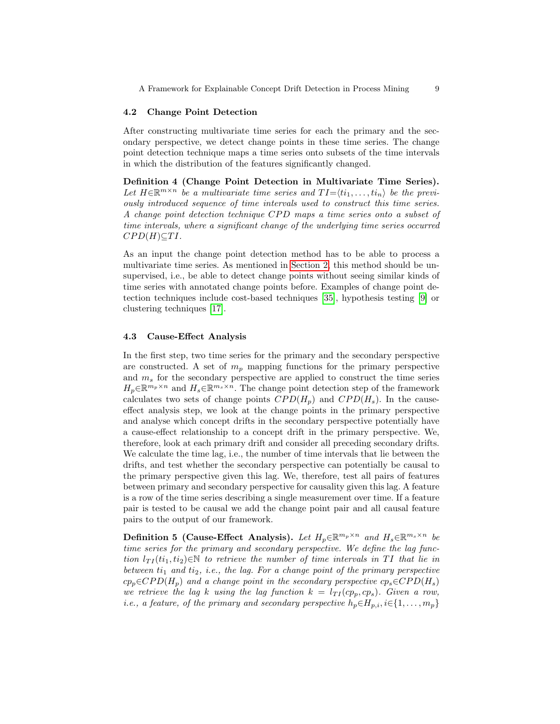A Framework for Explainable Concept Drift Detection in Process Mining 9

#### 4.2 Change Point Detection

After constructing multivariate time series for each the primary and the secondary perspective, we detect change points in these time series. The change point detection technique maps a time series onto subsets of the time intervals in which the distribution of the features significantly changed.

Definition 4 (Change Point Detection in Multivariate Time Series). Let  $H \in \mathbb{R}^{m \times n}$  be a multivariate time series and  $TI = \langle ti_1, \ldots, ti_n \rangle$  be the previously introduced sequence of time intervals used to construct this time series. A change point detection technique CPD maps a time series onto a subset of time intervals, where a significant change of the underlying time series occurred  $CPD(H) \subseteq TI$ .

As an input the change point detection method has to be able to process a multivariate time series. As mentioned in [Section 2,](#page-2-0) this method should be unsupervised, i.e., be able to detect change points without seeing similar kinds of time series with annotated change points before. Examples of change point detection techniques include cost-based techniques [\[35\]](#page-16-6), hypothesis testing [\[9\]](#page-14-6) or clustering techniques [\[17\]](#page-15-7).

## 4.3 Cause-Effect Analysis

In the first step, two time series for the primary and the secondary perspective are constructed. A set of  $m_p$  mapping functions for the primary perspective and  $m_s$  for the secondary perspective are applied to construct the time series  $H_p \in \mathbb{R}^{m_p \times n}$  and  $H_s \in \mathbb{R}^{m_s \times n}$ . The change point detection step of the framework calculates two sets of change points  $CPD(H_p)$  and  $CPD(H_s)$ . In the causeeffect analysis step, we look at the change points in the primary perspective and analyse which concept drifts in the secondary perspective potentially have a cause-effect relationship to a concept drift in the primary perspective. We, therefore, look at each primary drift and consider all preceding secondary drifts. We calculate the time lag, i.e., the number of time intervals that lie between the drifts, and test whether the secondary perspective can potentially be causal to the primary perspective given this lag. We, therefore, test all pairs of features between primary and secondary perspective for causality given this lag. A feature is a row of the time series describing a single measurement over time. If a feature pair is tested to be causal we add the change point pair and all causal feature pairs to the output of our framework.

Definition 5 (Cause-Effect Analysis). Let  $H_p \in \mathbb{R}^{m_p \times n}$  and  $H_s \in \mathbb{R}^{m_s \times n}$  be time series for the primary and secondary perspective. We define the lag function  $l_{TI}(ti_1, ti_2) \in \mathbb{N}$  to retrieve the number of time intervals in TI that lie in between  $t_{i_1}$  and  $t_{i_2}$ , i.e., the lag. For a change point of the primary perspective  $cp_p \in CPD(H_p)$  and a change point in the secondary perspective  $cp_s \in CPD(H_s)$ we retrieve the lag k using the lag function  $k = l_{TI}(cp_p, cp_s)$ . Given a row, *i.e.*, a feature, of the primary and secondary perspective  $h_p \in H_{p,i}, i \in \{1, \ldots, m_p\}$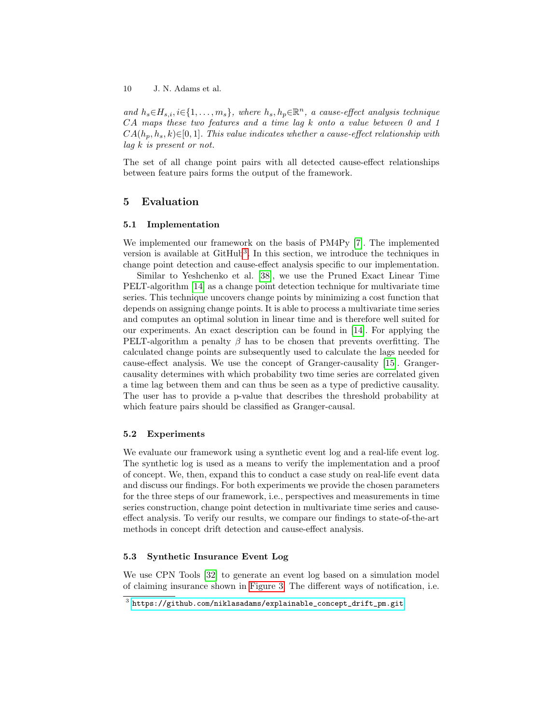and  $h_s \in H_{s,i}, i \in \{1, \ldots, m_s\}$ , where  $h_s, h_p \in \mathbb{R}^n$ , a cause-effect analysis technique CA maps these two features and a time lag k onto a value between 0 and 1  $CA(h_p, h_s, k) \in [0, 1]$ . This value indicates whether a cause-effect relationship with lag k is present or not.

The set of all change point pairs with all detected cause-effect relationships between feature pairs forms the output of the framework.

# <span id="page-9-0"></span>5 Evaluation

## 5.1 Implementation

We implemented our framework on the basis of PM4Py [\[7\]](#page-14-9). The implemented version is available at  $G$ it $H$ ub<sup>[3](#page-9-1)</sup>. In this section, we introduce the techniques in change point detection and cause-effect analysis specific to our implementation.

Similar to Yeshchenko et al. [\[38\]](#page-16-0), we use the Pruned Exact Linear Time PELT-algorithm [\[14\]](#page-15-18) as a change point detection technique for multivariate time series. This technique uncovers change points by minimizing a cost function that depends on assigning change points. It is able to process a multivariate time series and computes an optimal solution in linear time and is therefore well suited for our experiments. An exact description can be found in [\[14\]](#page-15-18). For applying the PELT-algorithm a penalty  $\beta$  has to be chosen that prevents overfitting. The calculated change points are subsequently used to calculate the lags needed for cause-effect analysis. We use the concept of Granger-causality [\[15\]](#page-15-16). Grangercausality determines with which probability two time series are correlated given a time lag between them and can thus be seen as a type of predictive causality. The user has to provide a p-value that describes the threshold probability at which feature pairs should be classified as Granger-causal.

## 5.2 Experiments

We evaluate our framework using a synthetic event log and a real-life event log. The synthetic log is used as a means to verify the implementation and a proof of concept. We, then, expand this to conduct a case study on real-life event data and discuss our findings. For both experiments we provide the chosen parameters for the three steps of our framework, i.e., perspectives and measurements in time series construction, change point detection in multivariate time series and causeeffect analysis. To verify our results, we compare our findings to state-of-the-art methods in concept drift detection and cause-effect analysis.

## 5.3 Synthetic Insurance Event Log

We use CPN Tools [\[32\]](#page-16-7) to generate an event log based on a simulation model of claiming insurance shown in [Figure 3.](#page-10-0) The different ways of notification, i.e.

<span id="page-9-1"></span> $^3$  [https://github.com/niklasadams/explainable\\_concept\\_drift\\_pm.git](https://github.com/niklasadams/explainable_concept_drift_pm.git)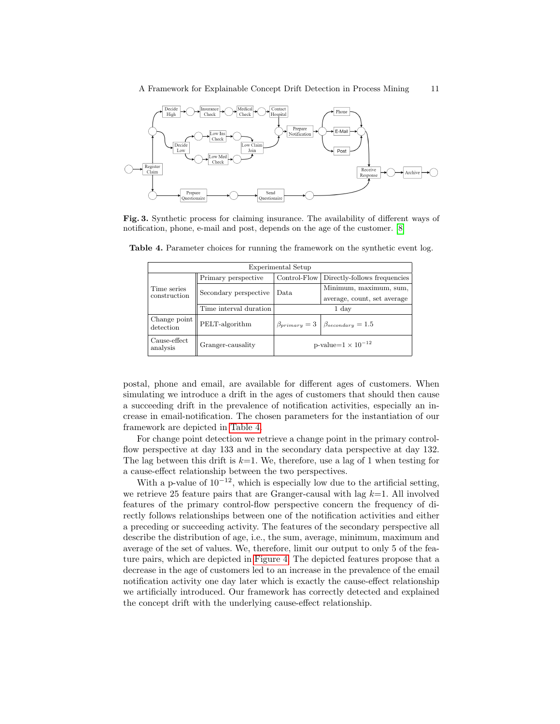

<span id="page-10-0"></span>Fig. 3. Synthetic process for claiming insurance. The availability of different ways of notification, phone, e-mail and post, depends on the age of the customer. [\[8\]](#page-14-5)

<span id="page-10-1"></span>

| Experimental Setup          |                        |                              |                                                    |  |
|-----------------------------|------------------------|------------------------------|----------------------------------------------------|--|
|                             | Primary perspective    |                              | Control-Flow   Directly-follows frequencies        |  |
| Time series<br>construction | Secondary perspective  | Data                         | Minimum, maximum, sum,                             |  |
|                             |                        |                              | average, count, set average                        |  |
|                             | Time interval duration | 1 day                        |                                                    |  |
| Change point<br>detection   | PELT-algorithm         |                              | $\beta_{primary} = 3 \mid \beta_{secondary} = 1.5$ |  |
| Cause-effect<br>analysis    | Granger-causality      | p-value= $1 \times 10^{-12}$ |                                                    |  |

Table 4. Parameter choices for running the framework on the synthetic event log.

postal, phone and email, are available for different ages of customers. When simulating we introduce a drift in the ages of customers that should then cause a succeeding drift in the prevalence of notification activities, especially an increase in email-notification. The chosen parameters for the instantiation of our framework are depicted in [Table 4.](#page-10-1)

For change point detection we retrieve a change point in the primary controlflow perspective at day 133 and in the secondary data perspective at day 132. The lag between this drift is  $k=1$ . We, therefore, use a lag of 1 when testing for a cause-effect relationship between the two perspectives.

With a p-value of  $10^{-12}$ , which is especially low due to the artificial setting, we retrieve 25 feature pairs that are Granger-causal with lag  $k=1$ . All involved features of the primary control-flow perspective concern the frequency of directly follows relationships between one of the notification activities and either a preceding or succeeding activity. The features of the secondary perspective all describe the distribution of age, i.e., the sum, average, minimum, maximum and average of the set of values. We, therefore, limit our output to only 5 of the feature pairs, which are depicted in [Figure 4.](#page-11-0) The depicted features propose that a decrease in the age of customers led to an increase in the prevalence of the email notification activity one day later which is exactly the cause-effect relationship we artificially introduced. Our framework has correctly detected and explained the concept drift with the underlying cause-effect relationship.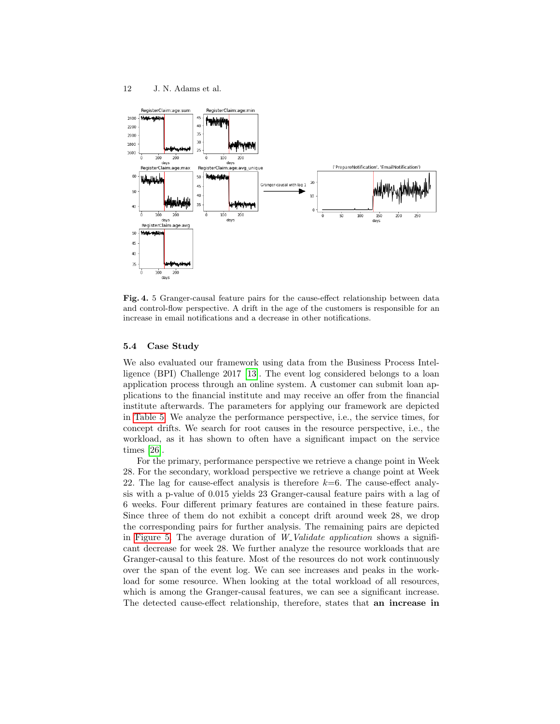

<span id="page-11-0"></span>Fig. 4. 5 Granger-causal feature pairs for the cause-effect relationship between data and control-flow perspective. A drift in the age of the customers is responsible for an increase in email notifications and a decrease in other notifications.

## 5.4 Case Study

We also evaluated our framework using data from the Business Process Intelligence (BPI) Challenge 2017 [\[13\]](#page-15-19). The event log considered belongs to a loan application process through an online system. A customer can submit loan applications to the financial institute and may receive an offer from the financial institute afterwards. The parameters for applying our framework are depicted in [Table 5.](#page-12-0) We analyze the performance perspective, i.e., the service times, for concept drifts. We search for root causes in the resource perspective, i.e., the workload, as it has shown to often have a significant impact on the service times [\[26\]](#page-15-12).

For the primary, performance perspective we retrieve a change point in Week 28. For the secondary, workload perspective we retrieve a change point at Week 22. The lag for cause-effect analysis is therefore  $k=6$ . The cause-effect analysis with a p-value of 0.015 yields 23 Granger-causal feature pairs with a lag of 6 weeks. Four different primary features are contained in these feature pairs. Since three of them do not exhibit a concept drift around week 28, we drop the corresponding pairs for further analysis. The remaining pairs are depicted in [Figure 5.](#page-12-1) The average duration of  $W<sub>-</sub>$  Validate application shows a significant decrease for week 28. We further analyze the resource workloads that are Granger-causal to this feature. Most of the resources do not work continuously over the span of the event log. We can see increases and peaks in the workload for some resource. When looking at the total workload of all resources, which is among the Granger-causal features, we can see a significant increase. The detected cause-effect relationship, therefore, states that an increase in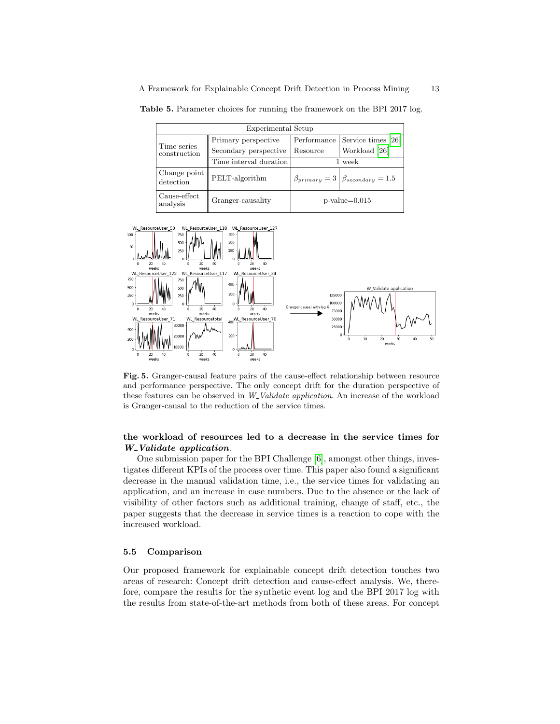Table 5. Parameter choices for running the framework on the BPI 2017 log.

<span id="page-12-0"></span>

| Experimental Setup          |                                    |                 |                                                    |  |
|-----------------------------|------------------------------------|-----------------|----------------------------------------------------|--|
|                             | Performance<br>Primary perspective |                 | Service times [26]                                 |  |
| Time series<br>construction | Secondary perspective              | Resource        | Workload [26]                                      |  |
|                             | Time interval duration             | 1 week          |                                                    |  |
| Change point<br>detection   | $\operatorname{PELT-algorithms}$   |                 | $\beta_{primary} = 3 \mid \beta_{secondary} = 1.5$ |  |
| Cause-effect<br>analysis    | Granger-causality                  | $p-value=0.015$ |                                                    |  |



<span id="page-12-1"></span>Fig. 5. Granger-causal feature pairs of the cause-effect relationship between resource and performance perspective. The only concept drift for the duration perspective of these features can be observed in  $W<sub>-</sub>$ Validate application. An increase of the workload is Granger-causal to the reduction of the service times.

## the workload of resources led to a decrease in the service times for W\_Validate application.

One submission paper for the BPI Challenge [\[6\]](#page-14-10), amongst other things, investigates different KPIs of the process over time. This paper also found a significant decrease in the manual validation time, i.e., the service times for validating an application, and an increase in case numbers. Due to the absence or the lack of visibility of other factors such as additional training, change of staff, etc., the paper suggests that the decrease in service times is a reaction to cope with the increased workload.

#### 5.5 Comparison

Our proposed framework for explainable concept drift detection touches two areas of research: Concept drift detection and cause-effect analysis. We, therefore, compare the results for the synthetic event log and the BPI 2017 log with the results from state-of-the-art methods from both of these areas. For concept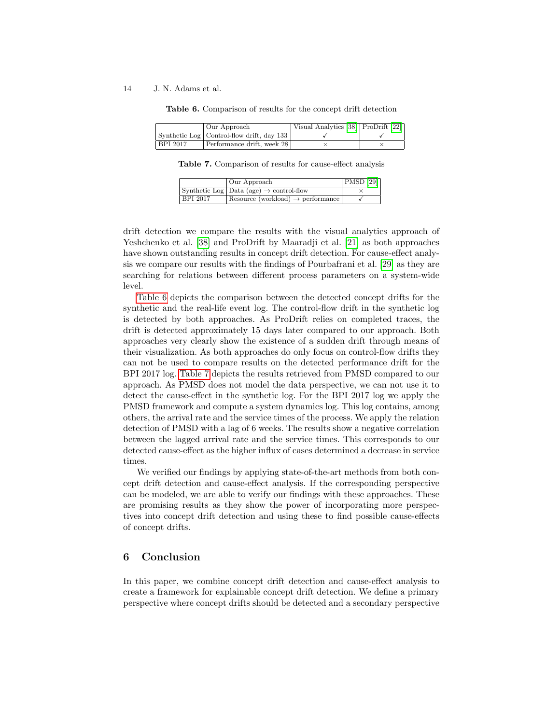<span id="page-13-1"></span>Table 6. Comparison of results for the concept drift detection

|          | Our Approach                                | Visual Analytics [38] ProDrift [22] |  |
|----------|---------------------------------------------|-------------------------------------|--|
|          | Synthetic Log   Control-flow drift, day 133 |                                     |  |
| BPI 2017 | Performance drift, week 28                  |                                     |  |

<span id="page-13-2"></span>Table 7. Comparison of results for cause-effect analysis

|                 | Our Approach                                          | <b>PMSD</b> [29] |
|-----------------|-------------------------------------------------------|------------------|
|                 | Synthetic Log   Data (age) $\rightarrow$ control-flow |                  |
| <b>BPI</b> 2017 | Resource (workload) $\rightarrow$ performance         |                  |

drift detection we compare the results with the visual analytics approach of Yeshchenko et al. [\[38\]](#page-16-0) and ProDrift by Maaradji et al. [\[21\]](#page-15-6) as both approaches have shown outstanding results in concept drift detection. For cause-effect analysis we compare our results with the findings of Pourbafrani et al. [\[29\]](#page-15-13) as they are searching for relations between different process parameters on a system-wide level.

[Table 6](#page-13-1) depicts the comparison between the detected concept drifts for the synthetic and the real-life event log. The control-flow drift in the synthetic log is detected by both approaches. As ProDrift relies on completed traces, the drift is detected approximately 15 days later compared to our approach. Both approaches very clearly show the existence of a sudden drift through means of their visualization. As both approaches do only focus on control-flow drifts they can not be used to compare results on the detected performance drift for the BPI 2017 log. [Table 7](#page-13-2) depicts the results retrieved from PMSD compared to our approach. As PMSD does not model the data perspective, we can not use it to detect the cause-effect in the synthetic log. For the BPI 2017 log we apply the PMSD framework and compute a system dynamics log. This log contains, among others, the arrival rate and the service times of the process. We apply the relation detection of PMSD with a lag of 6 weeks. The results show a negative correlation between the lagged arrival rate and the service times. This corresponds to our detected cause-effect as the higher influx of cases determined a decrease in service times.

We verified our findings by applying state-of-the-art methods from both concept drift detection and cause-effect analysis. If the corresponding perspective can be modeled, we are able to verify our findings with these approaches. These are promising results as they show the power of incorporating more perspectives into concept drift detection and using these to find possible cause-effects of concept drifts.

## <span id="page-13-0"></span>6 Conclusion

In this paper, we combine concept drift detection and cause-effect analysis to create a framework for explainable concept drift detection. We define a primary perspective where concept drifts should be detected and a secondary perspective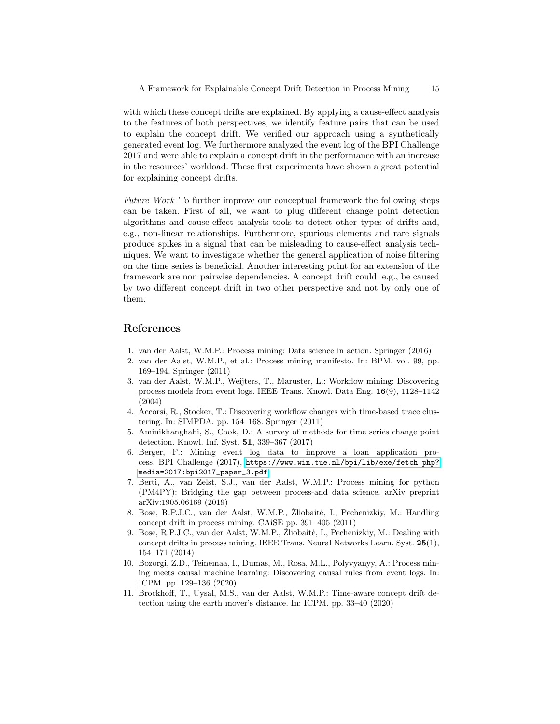with which these concept drifts are explained. By applying a cause-effect analysis to the features of both perspectives, we identify feature pairs that can be used to explain the concept drift. We verified our approach using a synthetically generated event log. We furthermore analyzed the event log of the BPI Challenge 2017 and were able to explain a concept drift in the performance with an increase in the resources' workload. These first experiments have shown a great potential for explaining concept drifts.

Future Work To further improve our conceptual framework the following steps can be taken. First of all, we want to plug different change point detection algorithms and cause-effect analysis tools to detect other types of drifts and, e.g., non-linear relationships. Furthermore, spurious elements and rare signals produce spikes in a signal that can be misleading to cause-effect analysis techniques. We want to investigate whether the general application of noise filtering on the time series is beneficial. Another interesting point for an extension of the framework are non pairwise dependencies. A concept drift could, e.g., be caused by two different concept drift in two other perspective and not by only one of them.

# References

- <span id="page-14-0"></span>1. van der Aalst, W.M.P.: Process mining: Data science in action. Springer (2016)
- <span id="page-14-1"></span>2. van der Aalst, W.M.P., et al.: Process mining manifesto. In: BPM. vol. 99, pp. 169–194. Springer (2011)
- <span id="page-14-8"></span>3. van der Aalst, W.M.P., Weijters, T., Maruster, L.: Workflow mining: Discovering process models from event logs. IEEE Trans. Knowl. Data Eng. 16(9), 1128–1142 (2004)
- <span id="page-14-7"></span>4. Accorsi, R., Stocker, T.: Discovering workflow changes with time-based trace clustering. In: SIMPDA. pp. 154–168. Springer (2011)
- <span id="page-14-4"></span>5. Aminikhanghahi, S., Cook, D.: A survey of methods for time series change point detection. Knowl. Inf. Syst. 51, 339–367 (2017)
- <span id="page-14-10"></span>6. Berger, F.: Mining event log data to improve a loan application process. BPI Challenge (2017), [https://www.win.tue.nl/bpi/lib/exe/fetch.php?](https://www.win.tue.nl/bpi/lib/exe/fetch.php?media=2017:bpi2017_paper_3.pdf) [media=2017:bpi2017\\_paper\\_3.pdf](https://www.win.tue.nl/bpi/lib/exe/fetch.php?media=2017:bpi2017_paper_3.pdf)
- <span id="page-14-9"></span>7. Berti, A., van Zelst, S.J., van der Aalst, W.M.P.: Process mining for python (PM4PY): Bridging the gap between process-and data science. arXiv preprint arXiv:1905.06169 (2019)
- <span id="page-14-5"></span>8. Bose, R.P.J.C., van der Aalst, W.M.P., Žliobaitė, I., Pechenizkiy, M.: Handling concept drift in process mining. CAiSE pp. 391–405 (2011)
- <span id="page-14-6"></span>9. Bose, R.P.J.C., van der Aalst, W.M.P., Žliobaitė, I., Pechenizkiy, M.: Dealing with concept drifts in process mining. IEEE Trans. Neural Networks Learn. Syst. 25(1), 154–171 (2014)
- <span id="page-14-3"></span>10. Bozorgi, Z.D., Teinemaa, I., Dumas, M., Rosa, M.L., Polyvyanyy, A.: Process mining meets causal machine learning: Discovering causal rules from event logs. In: ICPM. pp. 129–136 (2020)
- <span id="page-14-2"></span>11. Brockhoff, T., Uysal, M.S., van der Aalst, W.M.P.: Time-aware concept drift detection using the earth mover's distance. In: ICPM. pp. 33–40 (2020)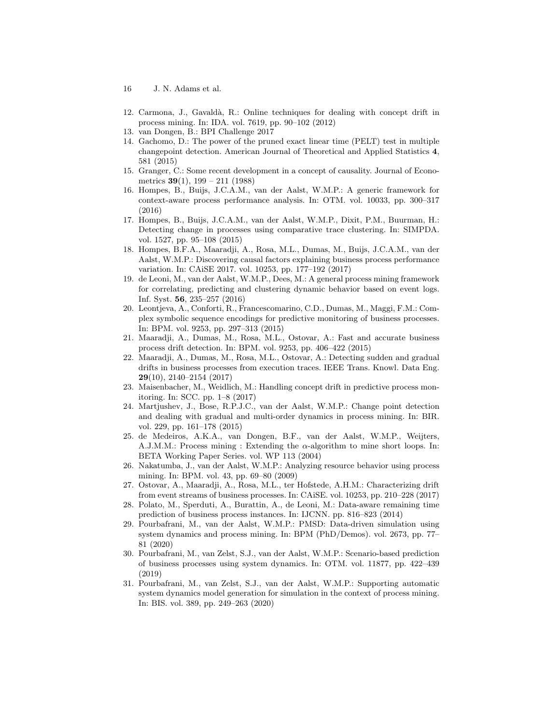- 16 J. N. Adams et al.
- <span id="page-15-5"></span>12. Carmona, J., Gavald`a, R.: Online techniques for dealing with concept drift in process mining. In: IDA. vol. 7619, pp. 90–102 (2012)
- <span id="page-15-19"></span>13. van Dongen, B.: BPI Challenge 2017
- <span id="page-15-18"></span>14. Gachomo, D.: The power of the pruned exact linear time (PELT) test in multiple changepoint detection. American Journal of Theoretical and Applied Statistics 4, 581 (2015)
- <span id="page-15-16"></span>15. Granger, C.: Some recent development in a concept of causality. Journal of Econometrics 39(1), 199 – 211 (1988)
- <span id="page-15-8"></span>16. Hompes, B., Buijs, J.C.A.M., van der Aalst, W.M.P.: A generic framework for context-aware process performance analysis. In: OTM. vol. 10033, pp. 300–317 (2016)
- <span id="page-15-7"></span>17. Hompes, B., Buijs, J.C.A.M., van der Aalst, W.M.P., Dixit, P.M., Buurman, H.: Detecting change in processes using comparative trace clustering. In: SIMPDA. vol. 1527, pp. 95–108 (2015)
- <span id="page-15-9"></span>18. Hompes, B.F.A., Maaradji, A., Rosa, M.L., Dumas, M., Buijs, J.C.A.M., van der Aalst, W.M.P.: Discovering causal factors explaining business process performance variation. In: CAiSE 2017. vol. 10253, pp. 177–192 (2017)
- <span id="page-15-10"></span>19. de Leoni, M., van der Aalst, W.M.P., Dees, M.: A general process mining framework for correlating, predicting and clustering dynamic behavior based on event logs. Inf. Syst. 56, 235–257 (2016)
- <span id="page-15-14"></span>20. Leontjeva, A., Conforti, R., Francescomarino, C.D., Dumas, M., Maggi, F.M.: Complex symbolic sequence encodings for predictive monitoring of business processes. In: BPM. vol. 9253, pp. 297–313 (2015)
- <span id="page-15-6"></span>21. Maaradji, A., Dumas, M., Rosa, M.L., Ostovar, A.: Fast and accurate business process drift detection. In: BPM. vol. 9253, pp. 406–422 (2015)
- <span id="page-15-3"></span>22. Maaradji, A., Dumas, M., Rosa, M.L., Ostovar, A.: Detecting sudden and gradual drifts in business processes from execution traces. IEEE Trans. Knowl. Data Eng. 29(10), 2140–2154 (2017)
- <span id="page-15-15"></span>23. Maisenbacher, M., Weidlich, M.: Handling concept drift in predictive process monitoring. In: SCC. pp. 1–8 (2017)
- <span id="page-15-2"></span>24. Martjushev, J., Bose, R.P.J.C., van der Aalst, W.M.P.: Change point detection and dealing with gradual and multi-order dynamics in process mining. In: BIR. vol. 229, pp. 161–178 (2015)
- <span id="page-15-4"></span>25. de Medeiros, A.K.A., van Dongen, B.F., van der Aalst, W.M.P., Weijters, A.J.M.M.: Process mining : Extending the  $\alpha$ -algorithm to mine short loops. In: BETA Working Paper Series. vol. WP 113 (2004)
- <span id="page-15-12"></span>26. Nakatumba, J., van der Aalst, W.M.P.: Analyzing resource behavior using process mining. In: BPM. vol. 43, pp. 69–80 (2009)
- <span id="page-15-0"></span>27. Ostovar, A., Maaradji, A., Rosa, M.L., ter Hofstede, A.H.M.: Characterizing drift from event streams of business processes. In: CAiSE. vol. 10253, pp. 210–228 (2017)
- <span id="page-15-11"></span>28. Polato, M., Sperduti, A., Burattin, A., de Leoni, M.: Data-aware remaining time prediction of business process instances. In: IJCNN. pp. 816–823 (2014)
- <span id="page-15-13"></span>29. Pourbafrani, M., van der Aalst, W.M.P.: PMSD: Data-driven simulation using system dynamics and process mining. In: BPM (PhD/Demos). vol. 2673, pp. 77– 81 (2020)
- <span id="page-15-17"></span>30. Pourbafrani, M., van Zelst, S.J., van der Aalst, W.M.P.: Scenario-based prediction of business processes using system dynamics. In: OTM. vol. 11877, pp. 422–439 (2019)
- <span id="page-15-1"></span>31. Pourbafrani, M., van Zelst, S.J., van der Aalst, W.M.P.: Supporting automatic system dynamics model generation for simulation in the context of process mining. In: BIS. vol. 389, pp. 249–263 (2020)